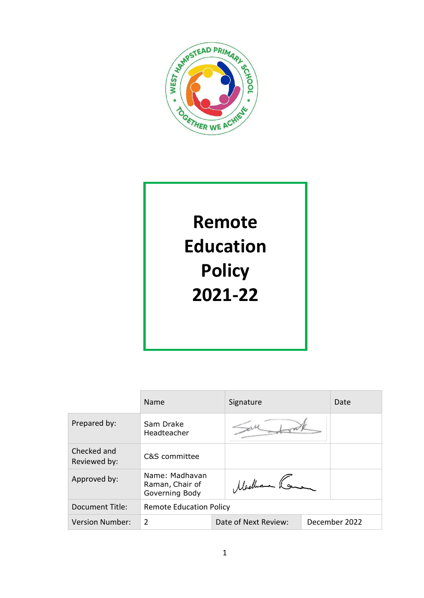

# **Remote Education Policy 2021-22**

|                             | <b>Name</b>                                         | Signature                             |  | Date |
|-----------------------------|-----------------------------------------------------|---------------------------------------|--|------|
| Prepared by:                | Sam Drake<br>Headteacher                            |                                       |  |      |
| Checked and<br>Reviewed by: | C&S committee                                       |                                       |  |      |
| Approved by:                | Name: Madhavan<br>Raman, Chair of<br>Governing Body | Machen Ko                             |  |      |
| Document Title:             | <b>Remote Education Policy</b>                      |                                       |  |      |
| <b>Version Number:</b>      | $\overline{2}$                                      | December 2022<br>Date of Next Review: |  |      |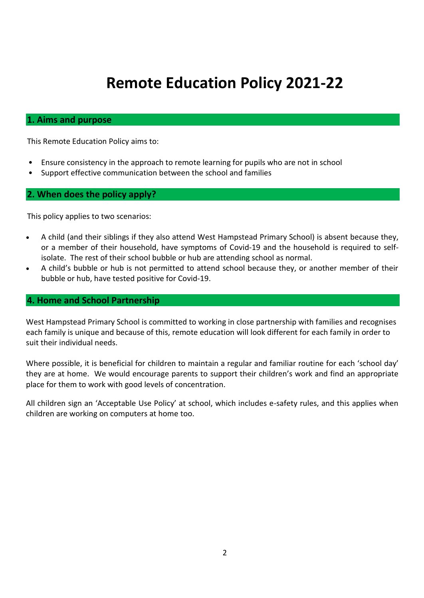# **Remote Education Policy 2021-22**

#### **1. Aims and purpose**

This Remote Education Policy aims to:

- Ensure consistency in the approach to remote learning for pupils who are not in school
- Support effective communication between the school and families

#### **2. When does the policy apply?**

This policy applies to two scenarios:

- A child (and their siblings if they also attend West Hampstead Primary School) is absent because they, or a member of their household, have symptoms of Covid-19 and the household is required to selfisolate. The rest of their school bubble or hub are attending school as normal.
- A child's bubble or hub is not permitted to attend school because they, or another member of their bubble or hub, have tested positive for Covid-19.

#### **4. Home and School Partnership**

West Hampstead Primary School is committed to working in close partnership with families and recognises each family is unique and because of this, remote education will look different for each family in order to suit their individual needs.

Where possible, it is beneficial for children to maintain a regular and familiar routine for each 'school day' they are at home. We would encourage parents to support their children's work and find an appropriate place for them to work with good levels of concentration.

All children sign an 'Acceptable Use Policy' at school, which includes e-safety rules, and this applies when children are working on computers at home too.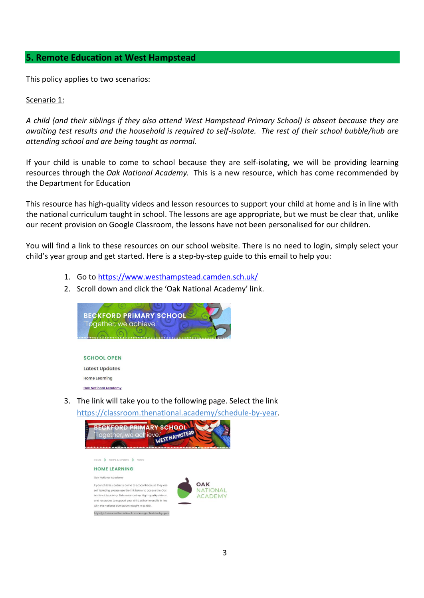#### **5. Remote Education at West Hampstead**

This policy applies to two scenarios:

#### Scenario 1:

*A child (and their siblings if they also attend West Hampstead Primary School) is absent because they are awaiting test results and the household is required to self-isolate. The rest of their school bubble/hub are attending school and are being taught as normal.*

If your child is unable to come to school because they are self-isolating, we will be providing learning resources through the *Oak National Academy.* This is a new resource, which has come recommended by the Department for Education

This resource has high-quality videos and lesson resources to support your child at home and is in line with the national curriculum taught in school. The lessons are age appropriate, but we must be clear that, unlike our recent provision on Google Classroom, the lessons have not been personalised for our children.

You will find a link to these resources on our school website. There is no need to login, simply select your child's year group and get started. Here is a step-by-step guide to this email to help you:

- 1. Go t[o https://www.westhampstead.camden.sch.uk/](https://www.westhampstead.camden.sch.uk/)
- 2. Scroll down and click the 'Oak National Academy' link.

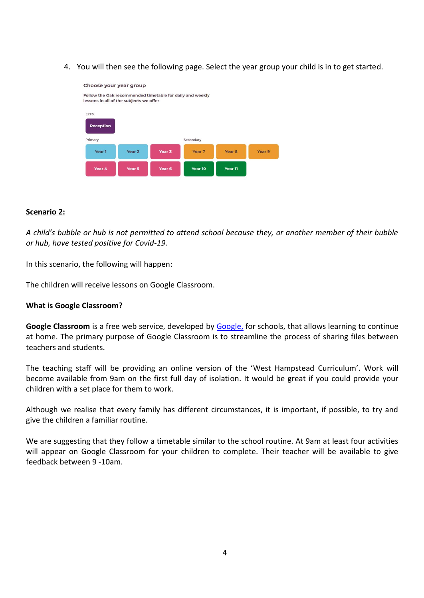4. You will then see the following page. Select the year group your child is in to get started.



#### **Scenario 2:**

*A child's bubble or hub is not permitted to attend school because they, or another member of their bubble or hub, have tested positive for Covid-19.*

In this scenario, the following will happen:

The children will receive lessons on Google Classroom.

#### **What is Google Classroom?**

**Google Classroom** is a free web service, developed by [Google,](https://en.wikipedia.org/wiki/Google) for schools, that allows learning to continue at home. The primary purpose of Google Classroom is to streamline the process of sharing files between teachers and students.

The teaching staff will be providing an online version of the 'West Hampstead Curriculum'. Work will become available from 9am on the first full day of isolation. It would be great if you could provide your children with a set place for them to work.

Although we realise that every family has different circumstances, it is important, if possible, to try and give the children a familiar routine.

We are suggesting that they follow a timetable similar to the school routine. At 9am at least four activities will appear on Google Classroom for your children to complete. Their teacher will be available to give feedback between 9 -10am.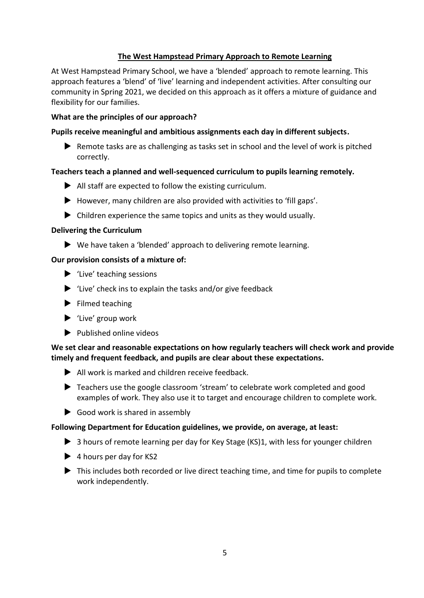#### **The West Hampstead Primary Approach to Remote Learning**

At West Hampstead Primary School, we have a 'blended' approach to remote learning. This approach features a 'blend' of 'live' learning and independent activities. After consulting our community in Spring 2021, we decided on this approach as it offers a mixture of guidance and flexibility for our families.

#### **What are the principles of our approach?**

#### **Pupils receive meaningful and ambitious assignments each day in different subjects.**

▶ Remote tasks are as challenging as tasks set in school and the level of work is pitched correctly.

#### **Teachers teach a planned and well-sequenced curriculum to pupils learning remotely.**

- All staff are expected to follow the existing curriculum.
- $\blacktriangleright$  However, many children are also provided with activities to 'fill gaps'.
- $\triangleright$  Children experience the same topics and units as they would usually.

#### **Delivering the Curriculum**

▶ We have taken a 'blended' approach to delivering remote learning.

#### **Our provision consists of a mixture of:**

- $\blacktriangleright$  'Live' teaching sessions
- $\blacktriangleright$  'Live' check ins to explain the tasks and/or give feedback
- $\blacktriangleright$  Filmed teaching
- $\blacktriangleright$  'Live' group work
- $\blacktriangleright$  Published online videos

#### **We set clear and reasonable expectations on how regularly teachers will check work and provide timely and frequent feedback, and pupils are clear about these expectations.**

- All work is marked and children receive feedback.
- ▶ Teachers use the google classroom 'stream' to celebrate work completed and good examples of work. They also use it to target and encourage children to complete work.
- $\triangleright$  Good work is shared in assembly

#### **Following Department for Education guidelines, we provide, on average, at least:**

- 3 hours of remote learning per day for Key Stage (KS)1, with less for younger children
- $\blacktriangleright$  4 hours per day for KS2
- ▶ This includes both recorded or live direct teaching time, and time for pupils to complete work independently.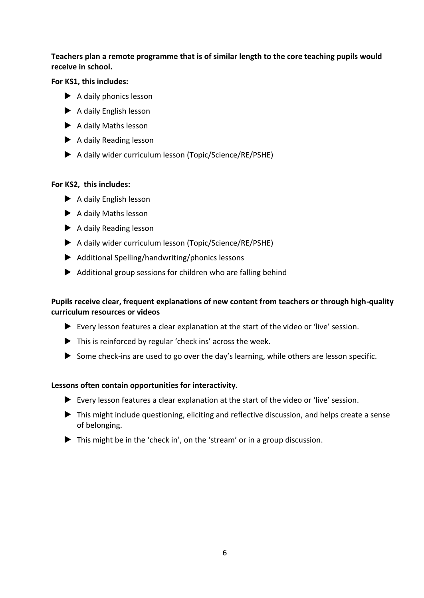#### **Teachers plan a remote programme that is of similar length to the core teaching pupils would receive in school.**

#### **For KS1, this includes:**

- $\blacktriangleright$  A daily phonics lesson
- $\blacktriangleright$  A daily English lesson
- ▶ A daily Maths lesson
- A daily Reading lesson
- A daily wider curriculum lesson (Topic/Science/RE/PSHE)

#### **For KS2, this includes:**

- $\blacktriangleright$  A daily English lesson
- A daily Maths lesson
- $\blacktriangleright$  A daily Reading lesson
- A daily wider curriculum lesson (Topic/Science/RE/PSHE)
- Additional Spelling/handwriting/phonics lessons
- $\blacktriangleright$  Additional group sessions for children who are falling behind

#### **Pupils receive clear, frequent explanations of new content from teachers or through high-quality curriculum resources or videos**

- Every lesson features a clear explanation at the start of the video or 'live' session.
- This is reinforced by regular 'check ins' across the week.
- Some check-ins are used to go over the day's learning, while others are lesson specific.

#### **Lessons often contain opportunities for interactivity.**

- $\blacktriangleright$  Every lesson features a clear explanation at the start of the video or 'live' session.
- ▶ This might include questioning, eliciting and reflective discussion, and helps create a sense of belonging.
- ▶ This might be in the 'check in', on the 'stream' or in a group discussion.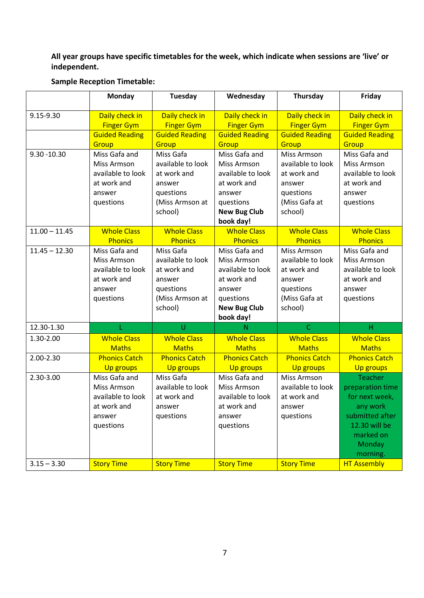#### **All year groups have specific timetables for the week, which indicate when sessions are 'live' or independent.**

|                 | <b>Monday</b>         | Tuesday               | Wednesday             | <b>Thursday</b>       | Friday                |
|-----------------|-----------------------|-----------------------|-----------------------|-----------------------|-----------------------|
| 9.15-9.30       | Daily check in        | Daily check in        | Daily check in        | Daily check in        | Daily check in        |
|                 | <b>Finger Gym</b>     | <b>Finger Gym</b>     | <b>Finger Gym</b>     | <b>Finger Gym</b>     | <b>Finger Gym</b>     |
|                 | <b>Guided Reading</b> | <b>Guided Reading</b> | <b>Guided Reading</b> | <b>Guided Reading</b> | <b>Guided Reading</b> |
|                 | Group                 | Group                 | Group                 | Group                 | Group                 |
| $9.30 - 10.30$  | Miss Gafa and         | Miss Gafa             | Miss Gafa and         | Miss Armson           | Miss Gafa and         |
|                 | Miss Armson           | available to look     | Miss Armson           | available to look     | Miss Armson           |
|                 | available to look     | at work and           | available to look     | at work and           | available to look     |
|                 | at work and           | answer                | at work and           | answer                | at work and           |
|                 | answer                | questions             | answer                | questions             | answer                |
|                 | questions             | (Miss Armson at       | questions             | (Miss Gafa at         | questions             |
|                 |                       | school)               | <b>New Bug Club</b>   | school)               |                       |
|                 |                       |                       | book day!             |                       |                       |
| $11.00 - 11.45$ | <b>Whole Class</b>    | <b>Whole Class</b>    | <b>Whole Class</b>    | <b>Whole Class</b>    | <b>Whole Class</b>    |
|                 | <b>Phonics</b>        | <b>Phonics</b>        | <b>Phonics</b>        | <b>Phonics</b>        | <b>Phonics</b>        |
| $11.45 - 12.30$ | Miss Gafa and         | Miss Gafa             | Miss Gafa and         | Miss Armson           | Miss Gafa and         |
|                 | <b>Miss Armson</b>    | available to look     | Miss Armson           | available to look     | <b>Miss Armson</b>    |
|                 | available to look     | at work and           | available to look     | at work and           | available to look     |
|                 | at work and           | answer                | at work and           | answer                | at work and           |
|                 | answer                | questions             | answer                | questions             | answer                |
|                 | questions             | (Miss Armson at       | questions             | (Miss Gafa at         | questions             |
|                 |                       | school)               | <b>New Bug Club</b>   | school)               |                       |
|                 |                       |                       | book day!             |                       |                       |
| 12.30-1.30      |                       | U                     | N                     | $\mathsf{C}$          | Н                     |
| 1.30-2.00       | <b>Whole Class</b>    | <b>Whole Class</b>    | <b>Whole Class</b>    | <b>Whole Class</b>    | <b>Whole Class</b>    |
|                 | <b>Maths</b>          | <b>Maths</b>          | <b>Maths</b>          | <b>Maths</b>          | <b>Maths</b>          |
| 2.00-2.30       | <b>Phonics Catch</b>  | <b>Phonics Catch</b>  | <b>Phonics Catch</b>  | <b>Phonics Catch</b>  | <b>Phonics Catch</b>  |
|                 | <b>Up groups</b>      | <b>Up groups</b>      | <b>Up groups</b>      | <b>Up groups</b>      | <b>Up groups</b>      |
| 2.30-3.00       | Miss Gafa and         | Miss Gafa             | Miss Gafa and         | Miss Armson           | <b>Teacher</b>        |
|                 | <b>Miss Armson</b>    | available to look     | Miss Armson           | available to look     | preparation time      |
|                 | available to look     | at work and           | available to look     | at work and           | for next week,        |
|                 | at work and           | answer                | at work and           | answer                | any work              |
|                 | answer                | questions             | answer                | questions             | submitted after       |
|                 | questions             |                       | questions             |                       | 12.30 will be         |
|                 |                       |                       |                       |                       | marked on             |
|                 |                       |                       |                       |                       | Monday                |
|                 |                       |                       |                       |                       | morning.              |
| $3.15 - 3.30$   | <b>Story Time</b>     | <b>Story Time</b>     | <b>Story Time</b>     | <b>Story Time</b>     | <b>HT Assembly</b>    |

#### **Sample Reception Timetable:**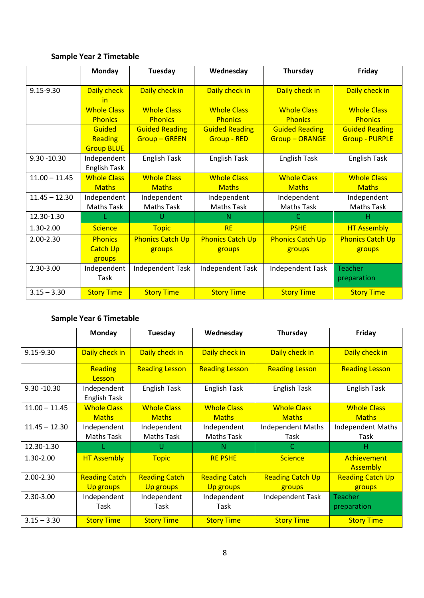## **Sample Year 2 Timetable**

|                 | Monday                                        | Tuesday                                     | Wednesday                                   | Thursday                                     | Friday                                         |
|-----------------|-----------------------------------------------|---------------------------------------------|---------------------------------------------|----------------------------------------------|------------------------------------------------|
| 9.15-9.30       | Daily check<br><u>in</u>                      | Daily check in                              | Daily check in                              | Daily check in                               | Daily check in                                 |
|                 | <b>Whole Class</b><br><b>Phonics</b>          | <b>Whole Class</b><br><b>Phonics</b>        | <b>Whole Class</b><br><b>Phonics</b>        | <b>Whole Class</b><br><b>Phonics</b>         | <b>Whole Class</b><br><b>Phonics</b>           |
|                 | <b>Guided</b><br>Reading<br><b>Group BLUE</b> | <b>Guided Reading</b><br><b>Group-GREEN</b> | <b>Guided Reading</b><br><b>Group - RED</b> | <b>Guided Reading</b><br><b>Group-ORANGE</b> | <b>Guided Reading</b><br><b>Group - PURPLE</b> |
| $9.30 - 10.30$  | Independent<br><b>English Task</b>            | <b>English Task</b>                         | English Task                                | English Task                                 | English Task                                   |
| $11.00 - 11.45$ | <b>Whole Class</b><br><b>Maths</b>            | <b>Whole Class</b><br><b>Maths</b>          | <b>Whole Class</b><br><b>Maths</b>          | <b>Whole Class</b><br><b>Maths</b>           | <b>Whole Class</b><br><b>Maths</b>             |
| $11.45 - 12.30$ | Independent<br><b>Maths Task</b>              | Independent<br><b>Maths Task</b>            | Independent<br><b>Maths Task</b>            | Independent<br><b>Maths Task</b>             | Independent<br><b>Maths Task</b>               |
| 12.30-1.30      |                                               | U                                           | N                                           | C                                            | н                                              |
| 1.30-2.00       | <b>Science</b>                                | <b>Topic</b>                                | <b>RE</b>                                   | <b>PSHE</b>                                  | <b>HT Assembly</b>                             |
| 2.00-2.30       | <b>Phonics</b><br><b>Catch Up</b><br>groups   | <b>Phonics Catch Up</b><br>groups           | <b>Phonics Catch Up</b><br>groups           | <b>Phonics Catch Up</b><br>groups            | <b>Phonics Catch Up</b><br>groups              |
| 2.30-3.00       | Independent<br>Task                           | Independent Task                            | Independent Task                            | <b>Independent Task</b>                      | <b>Teacher</b><br>preparation                  |
| $3.15 - 3.30$   | <b>Story Time</b>                             | <b>Story Time</b>                           | <b>Story Time</b>                           | <b>Story Time</b>                            | <b>Story Time</b>                              |

## **Sample Year 6 Timetable**

|                 | Monday                                   | Tuesday                                  | Wednesday                                | Thursday                           | Friday                             |
|-----------------|------------------------------------------|------------------------------------------|------------------------------------------|------------------------------------|------------------------------------|
| 9.15-9.30       | Daily check in                           | Daily check in                           | Daily check in                           | Daily check in                     | Daily check in                     |
|                 | <b>Reading</b><br>Lesson                 | <b>Reading Lesson</b>                    | <b>Reading Lesson</b>                    | <b>Reading Lesson</b>              | <b>Reading Lesson</b>              |
| $9.30 - 10.30$  | Independent<br>English Task              | English Task                             | English Task                             | English Task                       | English Task                       |
| $11.00 - 11.45$ | <b>Whole Class</b><br><b>Maths</b>       | <b>Whole Class</b><br><b>Maths</b>       | <b>Whole Class</b><br><b>Maths</b>       | <b>Whole Class</b><br><b>Maths</b> | <b>Whole Class</b><br><b>Maths</b> |
| $11.45 - 12.30$ | Independent<br><b>Maths Task</b>         | Independent<br>Maths Task                | Independent<br><b>Maths Task</b>         | <b>Independent Maths</b><br>Task   | <b>Independent Maths</b><br>Task   |
| 12.30-1.30      |                                          | U                                        | N                                        | C.                                 | н                                  |
| 1.30-2.00       | <b>HT Assembly</b>                       | <b>Topic</b>                             | <b>RE PSHE</b>                           | <b>Science</b>                     | Achievement<br><b>Assembly</b>     |
| 2.00-2.30       | <b>Reading Catch</b><br><b>Up groups</b> | <b>Reading Catch</b><br><b>Up groups</b> | <b>Reading Catch</b><br><b>Up groups</b> | <b>Reading Catch Up</b><br>groups  | <b>Reading Catch Up</b><br>groups  |
| 2.30-3.00       | Independent<br>Task                      | Independent<br>Task                      | Independent<br>Task                      | Independent Task                   | Teacher<br>preparation             |
| $3.15 - 3.30$   | <b>Story Time</b>                        | <b>Story Time</b>                        | <b>Story Time</b>                        | <b>Story Time</b>                  | <b>Story Time</b>                  |